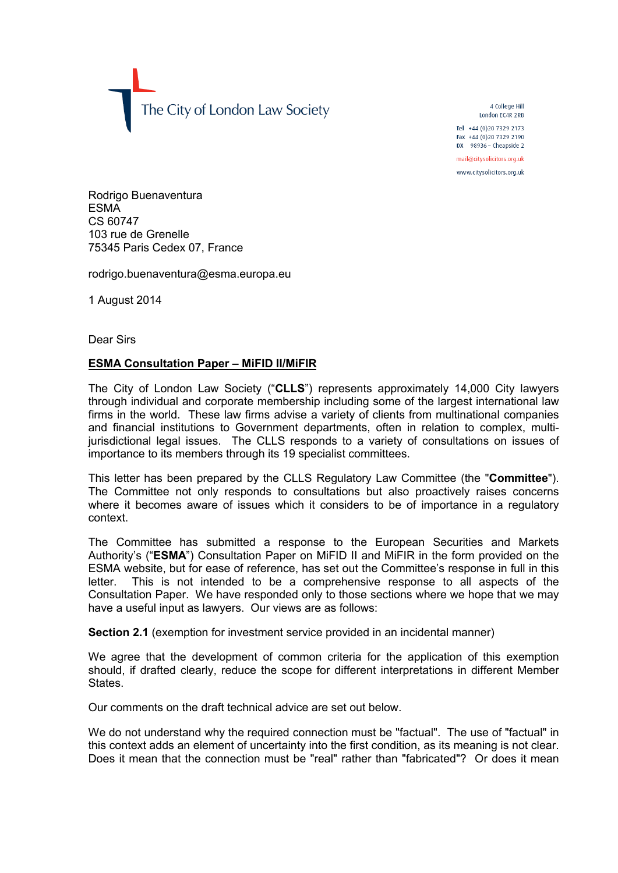The City of London Law Society

4 College Hill London FC4R 2RB

Tel +44 (0)20 7329 2173 Fax +44 (0)20 7329 2190 DX  $98936$  - Cheapside 2

mail@citysolicitors.org.uk

www.citysolicitors.org.uk

Rodrigo Buenaventura ESMA CS 60747 103 rue de Grenelle 75345 Paris Cedex 07, France

rodrigo.buenaventura@esma.europa.eu

1 August 2014

Dear Sirs

# **ESMA Consultation Paper – MiFID II/MiFIR**

The City of London Law Society ("**CLLS**") represents approximately 14,000 City lawyers through individual and corporate membership including some of the largest international law firms in the world. These law firms advise a variety of clients from multinational companies and financial institutions to Government departments, often in relation to complex, multijurisdictional legal issues. The CLLS responds to a variety of consultations on issues of importance to its members through its 19 specialist committees.

This letter has been prepared by the CLLS Regulatory Law Committee (the "**Committee**"). The Committee not only responds to consultations but also proactively raises concerns where it becomes aware of issues which it considers to be of importance in a regulatory context.

The Committee has submitted a response to the European Securities and Markets Authority's ("**ESMA**") Consultation Paper on MiFID II and MiFIR in the form provided on the ESMA website, but for ease of reference, has set out the Committee's response in full in this letter. This is not intended to be a comprehensive response to all aspects of the Consultation Paper. We have responded only to those sections where we hope that we may have a useful input as lawyers. Our views are as follows:

**Section 2.1** (exemption for investment service provided in an incidental manner)

We agree that the development of common criteria for the application of this exemption should, if drafted clearly, reduce the scope for different interpretations in different Member States.

Our comments on the draft technical advice are set out below.

We do not understand why the required connection must be "factual". The use of "factual" in this context adds an element of uncertainty into the first condition, as its meaning is not clear. Does it mean that the connection must be "real" rather than "fabricated"? Or does it mean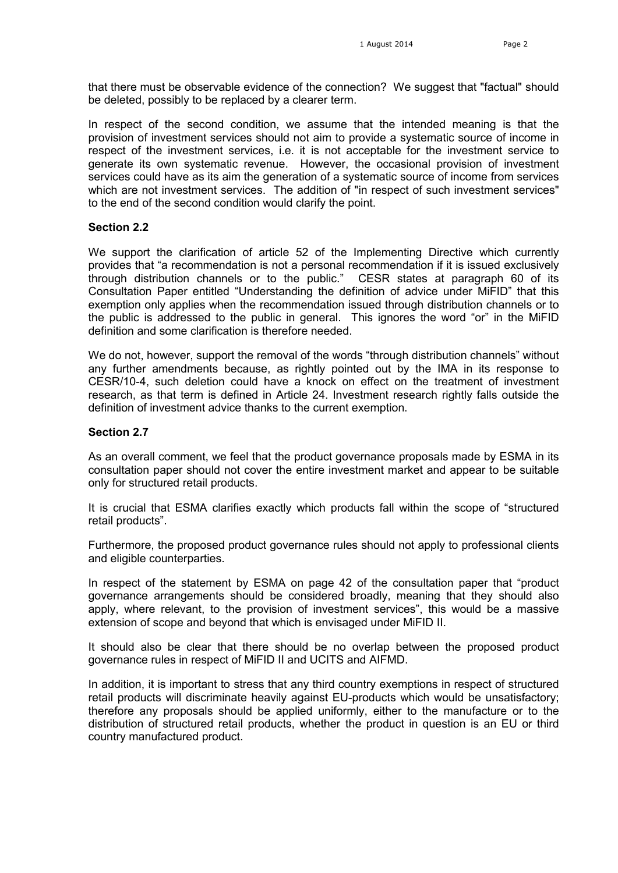that there must be observable evidence of the connection? We suggest that "factual" should be deleted, possibly to be replaced by a clearer term.

In respect of the second condition, we assume that the intended meaning is that the provision of investment services should not aim to provide a systematic source of income in respect of the investment services, i.e. it is not acceptable for the investment service to generate its own systematic revenue. However, the occasional provision of investment services could have as its aim the generation of a systematic source of income from services which are not investment services. The addition of "in respect of such investment services" to the end of the second condition would clarify the point.

### **Section 2.2**

We support the clarification of article 52 of the Implementing Directive which currently provides that "a recommendation is not a personal recommendation if it is issued exclusively through distribution channels or to the public." CESR states at paragraph 60 of its Consultation Paper entitled "Understanding the definition of advice under MiFID" that this exemption only applies when the recommendation issued through distribution channels or to the public is addressed to the public in general. This ignores the word "or" in the MiFID definition and some clarification is therefore needed.

We do not, however, support the removal of the words "through distribution channels" without any further amendments because, as rightly pointed out by the IMA in its response to CESR/10-4, such deletion could have a knock on effect on the treatment of investment research, as that term is defined in Article 24. Investment research rightly falls outside the definition of investment advice thanks to the current exemption.

#### **Section 2.7**

As an overall comment, we feel that the product governance proposals made by ESMA in its consultation paper should not cover the entire investment market and appear to be suitable only for structured retail products.

It is crucial that ESMA clarifies exactly which products fall within the scope of "structured retail products".

Furthermore, the proposed product governance rules should not apply to professional clients and eligible counterparties.

In respect of the statement by ESMA on page 42 of the consultation paper that "product governance arrangements should be considered broadly, meaning that they should also apply, where relevant, to the provision of investment services", this would be a massive extension of scope and beyond that which is envisaged under MiFID II.

It should also be clear that there should be no overlap between the proposed product governance rules in respect of MiFID II and UCITS and AIFMD.

In addition, it is important to stress that any third country exemptions in respect of structured retail products will discriminate heavily against EU-products which would be unsatisfactory; therefore any proposals should be applied uniformly, either to the manufacture or to the distribution of structured retail products, whether the product in question is an EU or third country manufactured product.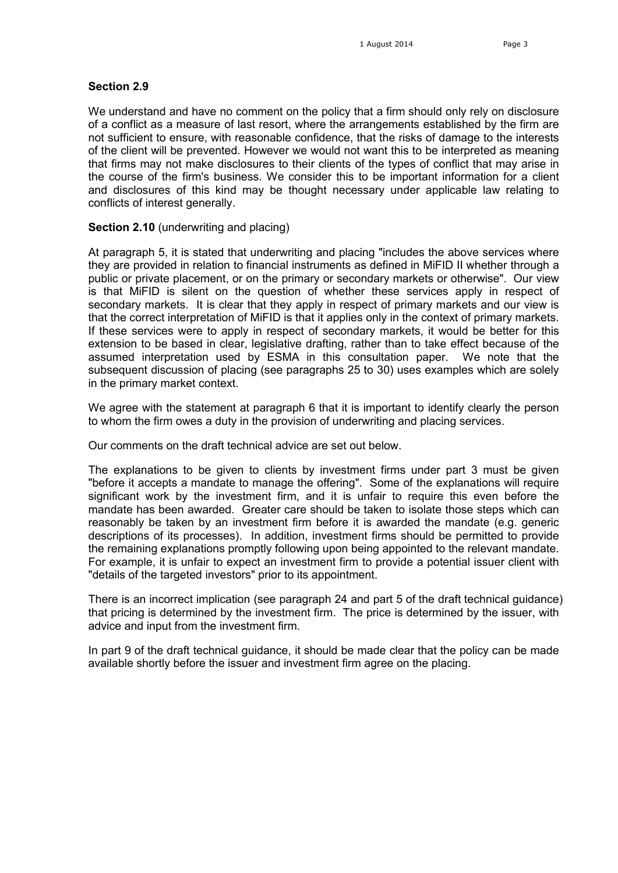### **Section 2.9**

We understand and have no comment on the policy that a firm should only rely on disclosure of a conflict as a measure of last resort, where the arrangements established by the firm are not sufficient to ensure, with reasonable confidence, that the risks of damage to the interests of the client will be prevented. However we would not want this to be interpreted as meaning that firms may not make disclosures to their clients of the types of conflict that may arise in the course of the firm's business. We consider this to be important information for a client and disclosures of this kind may be thought necessary under applicable law relating to conflicts of interest generally.

### **Section 2.10** (underwriting and placing)

At paragraph 5, it is stated that underwriting and placing "includes the above services where they are provided in relation to financial instruments as defined in MiFID II whether through a public or private placement, or on the primary or secondary markets or otherwise". Our view is that MiFID is silent on the question of whether these services apply in respect of secondary markets. It is clear that they apply in respect of primary markets and our view is that the correct interpretation of MiFID is that it applies only in the context of primary markets. If these services were to apply in respect of secondary markets, it would be better for this extension to be based in clear, legislative drafting, rather than to take effect because of the assumed interpretation used by ESMA in this consultation paper. We note that the subsequent discussion of placing (see paragraphs 25 to 30) uses examples which are solely in the primary market context.

We agree with the statement at paragraph 6 that it is important to identify clearly the person to whom the firm owes a duty in the provision of underwriting and placing services.

Our comments on the draft technical advice are set out below.

The explanations to be given to clients by investment firms under part 3 must be given "before it accepts a mandate to manage the offering". Some of the explanations will require significant work by the investment firm, and it is unfair to require this even before the mandate has been awarded. Greater care should be taken to isolate those steps which can reasonably be taken by an investment firm before it is awarded the mandate (e.g. generic descriptions of its processes). In addition, investment firms should be permitted to provide the remaining explanations promptly following upon being appointed to the relevant mandate. For example, it is unfair to expect an investment firm to provide a potential issuer client with "details of the targeted investors" prior to its appointment.

There is an incorrect implication (see paragraph 24 and part 5 of the draft technical guidance) that pricing is determined by the investment firm. The price is determined by the issuer, with advice and input from the investment firm.

In part 9 of the draft technical guidance, it should be made clear that the policy can be made available shortly before the issuer and investment firm agree on the placing.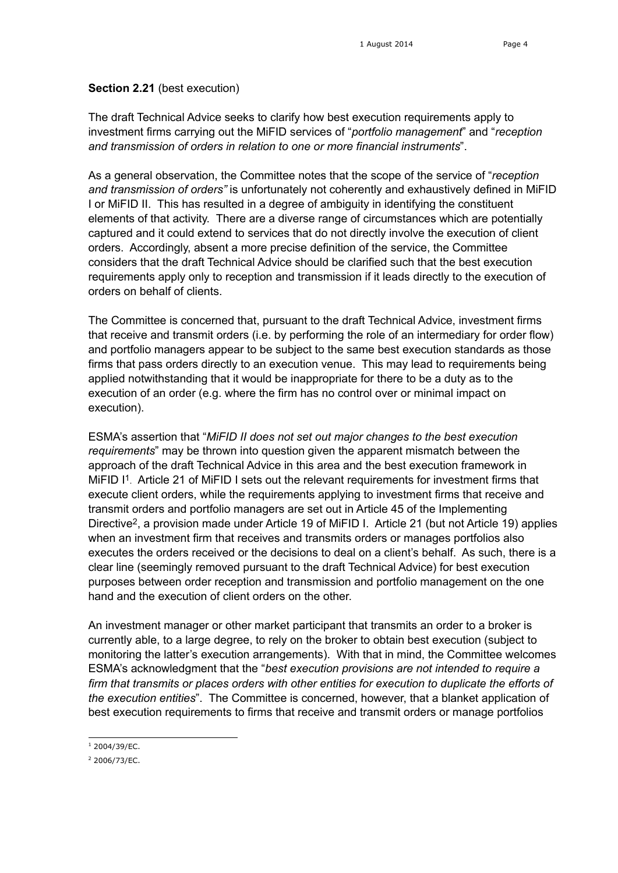# **Section 2.21** (best execution)

The draft Technical Advice seeks to clarify how best execution requirements apply to investment firms carrying out the MiFID services of "*portfolio management*" and "*reception and transmission of orders in relation to one or more financial instruments*".

As a general observation, the Committee notes that the scope of the service of "*reception and transmission of orders"* is unfortunately not coherently and exhaustively defined in MiFID I or MiFID II. This has resulted in a degree of ambiguity in identifying the constituent elements of that activity. There are a diverse range of circumstances which are potentially captured and it could extend to services that do not directly involve the execution of client orders. Accordingly, absent a more precise definition of the service, the Committee considers that the draft Technical Advice should be clarified such that the best execution requirements apply only to reception and transmission if it leads directly to the execution of orders on behalf of clients.

The Committee is concerned that, pursuant to the draft Technical Advice, investment firms that receive and transmit orders (i.e. by performing the role of an intermediary for order flow) and portfolio managers appear to be subject to the same best execution standards as those firms that pass orders directly to an execution venue. This may lead to requirements being applied notwithstanding that it would be inappropriate for there to be a duty as to the execution of an order (e.g. where the firm has no control over or minimal impact on execution).

ESMA's assertion that "*MiFID II does not set out major changes to the best execution requirements*" may be thrown into question given the apparent mismatch between the approach of the draft Technical Advice in this area and the best execution framework in MiFID I<sup>1</sup>. Article 21 of MiFID I sets out the relevant requirements for investment firms that execute client orders, while the requirements applying to investment firms that receive and transmit orders and portfolio managers are set out in Article 45 of the Implementing Directive2, a provision made under Article 19 of MiFID I. Article 21 (but not Article 19) applies when an investment firm that receives and transmits orders or manages portfolios also executes the orders received or the decisions to deal on a client's behalf. As such, there is a clear line (seemingly removed pursuant to the draft Technical Advice) for best execution purposes between order reception and transmission and portfolio management on the one hand and the execution of client orders on the other.

An investment manager or other market participant that transmits an order to a broker is currently able, to a large degree, to rely on the broker to obtain best execution (subject to monitoring the latter's execution arrangements). With that in mind, the Committee welcomes ESMA's acknowledgment that the "*best execution provisions are not intended to require a firm that transmits or places orders with other entities for execution to duplicate the efforts of the execution entities*". The Committee is concerned, however, that a blanket application of best execution requirements to firms that receive and transmit orders or manage portfolios

<sup>-</sup> $1$  2004/39/EC.

<sup>2</sup> 2006/73/EC.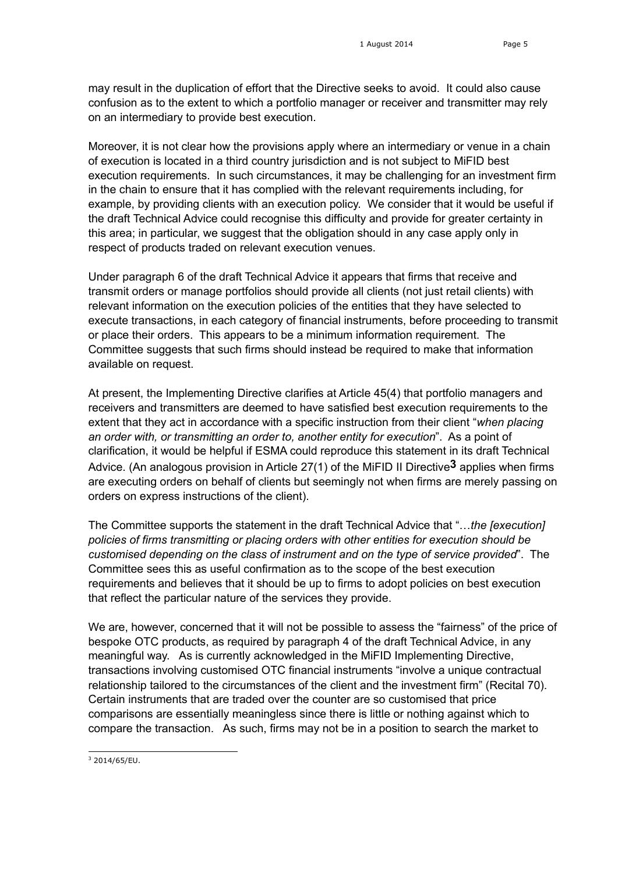may result in the duplication of effort that the Directive seeks to avoid. It could also cause confusion as to the extent to which a portfolio manager or receiver and transmitter may rely on an intermediary to provide best execution.

Moreover, it is not clear how the provisions apply where an intermediary or venue in a chain of execution is located in a third country jurisdiction and is not subject to MiFID best execution requirements. In such circumstances, it may be challenging for an investment firm in the chain to ensure that it has complied with the relevant requirements including, for example, by providing clients with an execution policy. We consider that it would be useful if the draft Technical Advice could recognise this difficulty and provide for greater certainty in this area; in particular, we suggest that the obligation should in any case apply only in respect of products traded on relevant execution venues.

Under paragraph 6 of the draft Technical Advice it appears that firms that receive and transmit orders or manage portfolios should provide all clients (not just retail clients) with relevant information on the execution policies of the entities that they have selected to execute transactions, in each category of financial instruments, before proceeding to transmit or place their orders. This appears to be a minimum information requirement. The Committee suggests that such firms should instead be required to make that information available on request.

At present, the Implementing Directive clarifies at Article 45(4) that portfolio managers and receivers and transmitters are deemed to have satisfied best execution requirements to the extent that they act in accordance with a specific instruction from their client "*when placing an order with, or transmitting an order to, another entity for execution*". As a point of clarification, it would be helpful if ESMA could reproduce this statement in its draft Technical Advice. (An analogous provision in Article 27(1) of the MiFID II Directive**3** applies when firms are executing orders on behalf of clients but seemingly not when firms are merely passing on orders on express instructions of the client).

The Committee supports the statement in the draft Technical Advice that "…*the [execution] policies of firms transmitting or placing orders with other entities for execution should be customised depending on the class of instrument and on the type of service provided*". The Committee sees this as useful confirmation as to the scope of the best execution requirements and believes that it should be up to firms to adopt policies on best execution that reflect the particular nature of the services they provide.

We are, however, concerned that it will not be possible to assess the "fairness" of the price of bespoke OTC products, as required by paragraph 4 of the draft Technical Advice, in any meaningful way. As is currently acknowledged in the MiFID Implementing Directive, transactions involving customised OTC financial instruments "involve a unique contractual relationship tailored to the circumstances of the client and the investment firm" (Recital 70). Certain instruments that are traded over the counter are so customised that price comparisons are essentially meaningless since there is little or nothing against which to compare the transaction. As such, firms may not be in a position to search the market to

<sup>-</sup> $3$  2014/65/EU.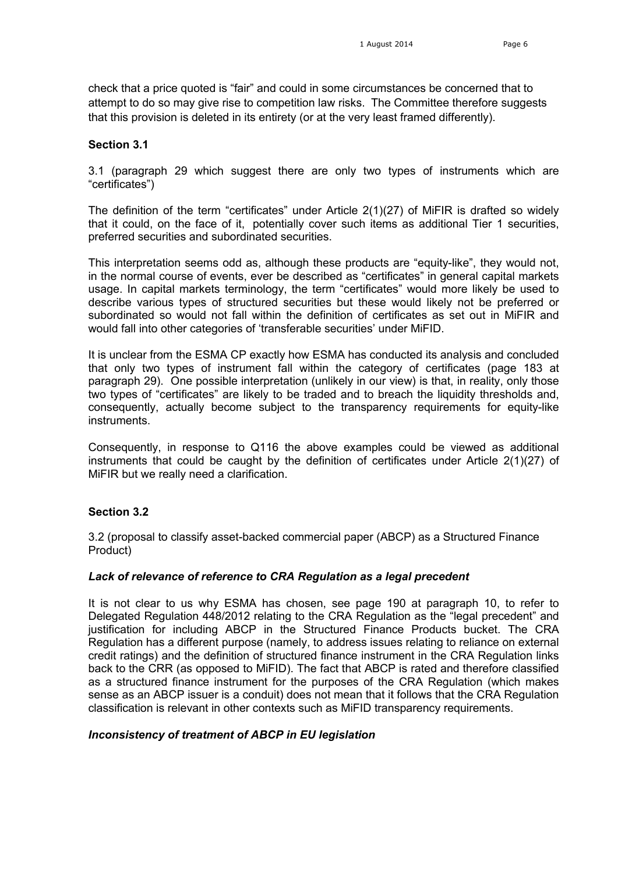check that a price quoted is "fair" and could in some circumstances be concerned that to attempt to do so may give rise to competition law risks. The Committee therefore suggests that this provision is deleted in its entirety (or at the very least framed differently).

# **Section 3.1**

3.1 (paragraph 29 which suggest there are only two types of instruments which are "certificates")

The definition of the term "certificates" under Article 2(1)(27) of MiFIR is drafted so widely that it could, on the face of it, potentially cover such items as additional Tier 1 securities, preferred securities and subordinated securities.

This interpretation seems odd as, although these products are "equity-like", they would not, in the normal course of events, ever be described as "certificates" in general capital markets usage. In capital markets terminology, the term "certificates" would more likely be used to describe various types of structured securities but these would likely not be preferred or subordinated so would not fall within the definition of certificates as set out in MiFIR and would fall into other categories of 'transferable securities' under MiFID.

It is unclear from the ESMA CP exactly how ESMA has conducted its analysis and concluded that only two types of instrument fall within the category of certificates (page 183 at paragraph 29). One possible interpretation (unlikely in our view) is that, in reality, only those two types of "certificates" are likely to be traded and to breach the liquidity thresholds and, consequently, actually become subject to the transparency requirements for equity-like instruments.

Consequently, in response to Q116 the above examples could be viewed as additional instruments that could be caught by the definition of certificates under Article 2(1)(27) of MiFIR but we really need a clarification.

# **Section 3.2**

3.2 (proposal to classify asset-backed commercial paper (ABCP) as a Structured Finance Product)

# *Lack of relevance of reference to CRA Regulation as a legal precedent*

It is not clear to us why ESMA has chosen, see page 190 at paragraph 10, to refer to Delegated Regulation 448/2012 relating to the CRA Regulation as the "legal precedent" and justification for including ABCP in the Structured Finance Products bucket. The CRA Regulation has a different purpose (namely, to address issues relating to reliance on external credit ratings) and the definition of structured finance instrument in the CRA Regulation links back to the CRR (as opposed to MiFID). The fact that ABCP is rated and therefore classified as a structured finance instrument for the purposes of the CRA Regulation (which makes sense as an ABCP issuer is a conduit) does not mean that it follows that the CRA Regulation classification is relevant in other contexts such as MiFID transparency requirements.

# *Inconsistency of treatment of ABCP in EU legislation*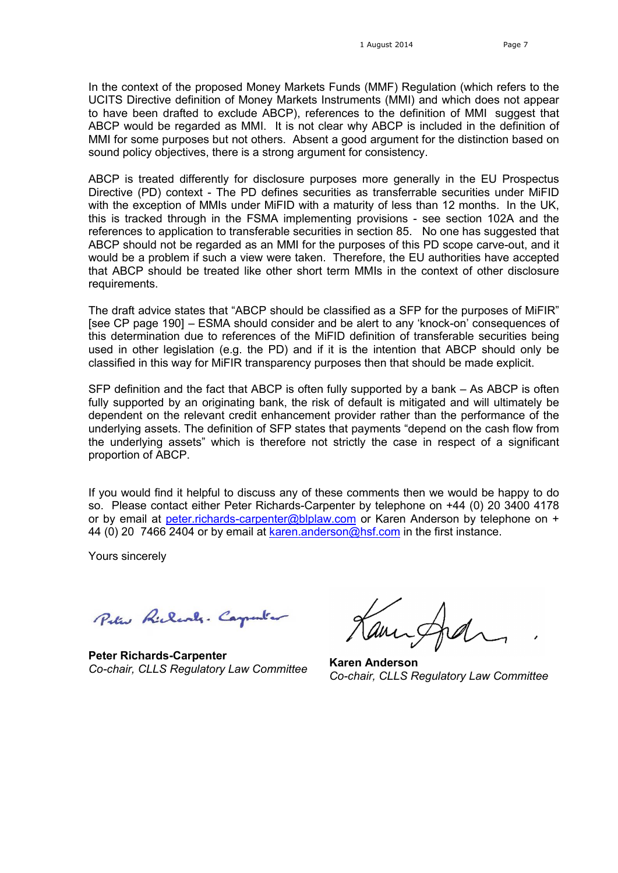In the context of the proposed Money Markets Funds (MMF) Regulation (which refers to the UCITS Directive definition of Money Markets Instruments (MMI) and which does not appear to have been drafted to exclude ABCP), references to the definition of MMI suggest that ABCP would be regarded as MMI. It is not clear why ABCP is included in the definition of MMI for some purposes but not others. Absent a good argument for the distinction based on sound policy objectives, there is a strong argument for consistency.

ABCP is treated differently for disclosure purposes more generally in the EU Prospectus Directive (PD) context - The PD defines securities as transferrable securities under MiFID with the exception of MMIs under MiFID with a maturity of less than 12 months. In the UK, this is tracked through in the FSMA implementing provisions - see section 102A and the references to application to transferable securities in section 85. No one has suggested that ABCP should not be regarded as an MMI for the purposes of this PD scope carve-out, and it would be a problem if such a view were taken. Therefore, the EU authorities have accepted that ABCP should be treated like other short term MMIs in the context of other disclosure requirements.

The draft advice states that "ABCP should be classified as a SFP for the purposes of MiFIR" [see CP page 190] – ESMA should consider and be alert to any 'knock-on' consequences of this determination due to references of the MiFID definition of transferable securities being used in other legislation (e.g. the PD) and if it is the intention that ABCP should only be classified in this way for MiFIR transparency purposes then that should be made explicit.

SFP definition and the fact that ABCP is often fully supported by a bank – As ABCP is often fully supported by an originating bank, the risk of default is mitigated and will ultimately be dependent on the relevant credit enhancement provider rather than the performance of the underlying assets. The definition of SFP states that payments "depend on the cash flow from the underlying assets" which is therefore not strictly the case in respect of a significant proportion of ABCP.

If you would find it helpful to discuss any of these comments then we would be happy to do so. Please contact either Peter Richards-Carpenter by telephone on +44 (0) 20 3400 4178 or by email at [peter.richards-carpenter@blplaw.com](mailto:peter.richards-carpenter@blplaw.com) or Karen Anderson by telephone on + 44 (0) 20 7466 2404 or by email at [karen.anderson@hsf.com](mailto:karen.anderson@hsf.com) in the first instance.

Yours sincerely

Peter Richards. Carpenter

**Peter Richards-Carpenter** *Co-chair, CLLS Regulatory Law Committee* **Karen Anderson**

*Co-chair, CLLS Regulatory Law Committee*